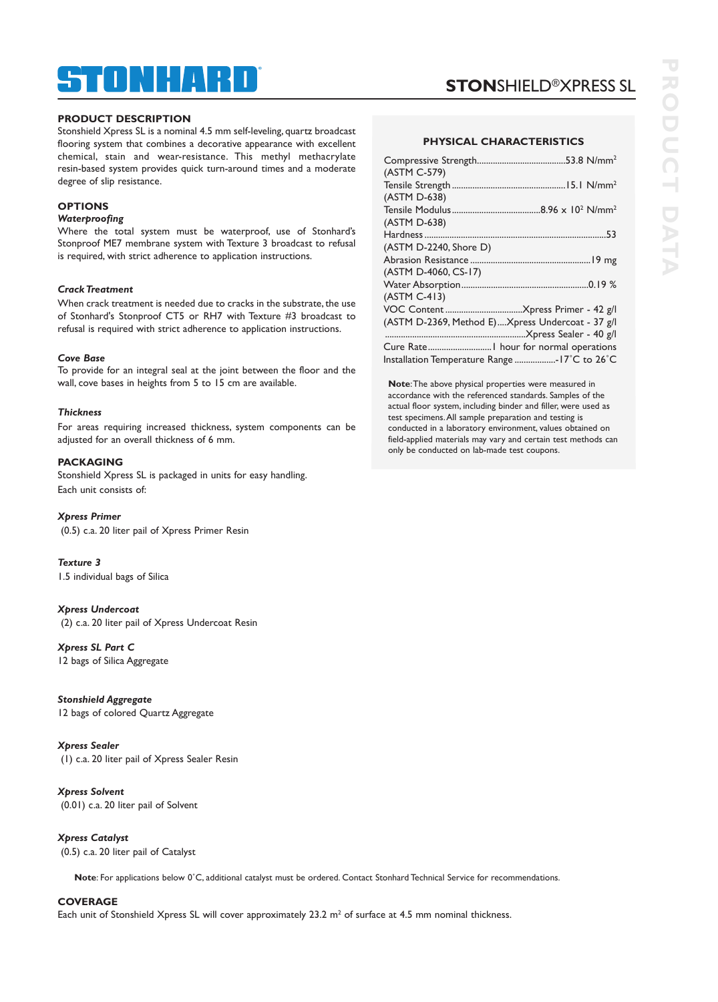# **STON**SHIELD®XPRESS SL

## **PRODUCT DESCRIPTION**

Stonshield Xpress SL is a nominal 4.5 mm self-leveling, quartz broadcast flooring system that combines a decorative appearance with excellent chemical, stain and wear-resistance. This methyl methacrylate resin-based system provides quick turn-around times and a moderate degree of slip resistance.

## **OPTIONS**

## *Waterproofing*

Where the total system must be waterproof, use of Stonhard's Stonproof ME7 membrane system with Texture 3 broadcast to refusal is required, with strict adherence to application instructions.

## *Crack Treatment*

When crack treatment is needed due to cracks in the substrate, the use of Stonhard's Stonproof CT5 or RH7 with Texture #3 broadcast to refusal is required with strict adherence to application instructions.

## *Cove Base*

To provide for an integral seal at the joint between the floor and the wall, cove bases in heights from 5 to 15 cm are available.

#### *Thickness*

For areas requiring increased thickness, system components can be adjusted for an overall thickness of 6 mm.

#### **PACKAGING**

Stonshield Xpress SL is packaged in units for easy handling. Each unit consists of:

*Xpress Primer*  (0.5) c.a. 20 liter pail of Xpress Primer Resin

*Texture 3* 

1.5 individual bags of Silica

#### *Xpress Undercoat*

(2) c.a. 20 liter pail of Xpress Undercoat Resin

## *Xpress SL Part C*

12 bags of Silica Aggregate

## *Stonshield Aggregate*

12 bags of colored Quartz Aggregate

*Xpress Sealer*  (1) c.a. 20 liter pail of Xpress Sealer Resin

## *Xpress Solvent*

(0.01) c.a. 20 liter pail of Solvent

## *Xpress Catalyst*

(0.5) c.a. 20 liter pail of Catalyst

**Note**: For applications below 0˚C, additional catalyst must be ordered. Contact Stonhard Technical Service for recommendations.

#### **COVERAGE**

Each unit of Stonshield Xpress SL will cover approximately 23.2  $m<sup>2</sup>$  of surface at 4.5 mm nominal thickness.

## **PHYSICAL CHARACTERISTICS**

| (ASTM C-579)                                     |
|--------------------------------------------------|
|                                                  |
| (ASTM D-638)                                     |
|                                                  |
| (ASTM D-638)                                     |
|                                                  |
| (ASTM D-2240, Shore D)                           |
|                                                  |
| (ASTM D-4060, CS-17)                             |
|                                                  |
| (ASTM C-413)                                     |
|                                                  |
| (ASTM D-2369, Method E)Xpress Undercoat - 37 g/l |
|                                                  |
|                                                  |
| Installation Temperature Range 17°C to 26°C      |

**Note**: The above physical properties were measured in accordance with the referenced standards. Samples of the actual floor system, including binder and filler, were used as test specimens. All sample preparation and testing is conducted in a laboratory environment, values obtained on field-applied materials may vary and certain test methods can only be conducted on lab-made test coupons.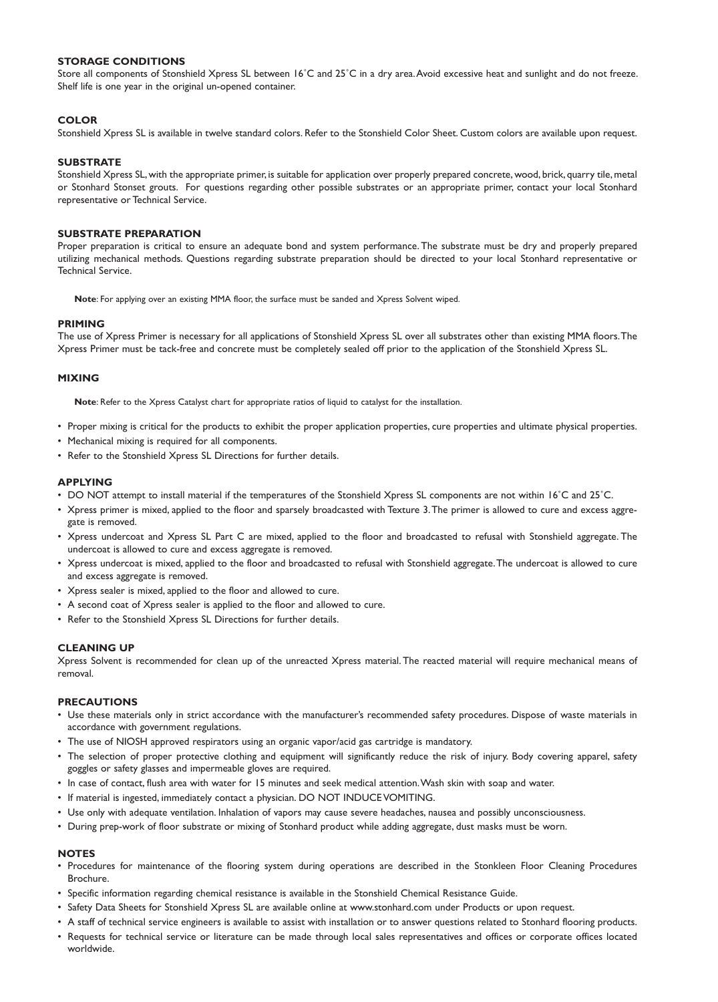#### **STORAGE CONDITIONS**

Store all components of Stonshield Xpress SL between 16˚C and 25˚C in a dry area. Avoid excessive heat and sunlight and do not freeze. Shelf life is one year in the original un-opened container.

#### **COLOR**

Stonshield Xpress SL is available in twelve standard colors. Refer to the Stonshield Color Sheet. Custom colors are available upon request.

#### **SUBSTRATE**

Stonshield Xpress SL, with the appropriate primer, is suitable for application over properly prepared concrete, wood, brick, quarry tile, metal or Stonhard Stonset grouts. For questions regarding other possible substrates or an appropriate primer, contact your local Stonhard representative or Technical Service.

#### **SUBSTRATE PREPARATION**

Proper preparation is critical to ensure an adequate bond and system performance. The substrate must be dry and properly prepared utilizing mechanical methods. Questions regarding substrate preparation should be directed to your local Stonhard representative or Technical Service.

**Note**: For applying over an existing MMA floor, the surface must be sanded and Xpress Solvent wiped.

#### **PRIMING**

The use of Xpress Primer is necessary for all applications of Stonshield Xpress SL over all substrates other than existing MMA floors. The Xpress Primer must be tack-free and concrete must be completely sealed off prior to the application of the Stonshield Xpress SL.

#### **MIXING**

**Note**: Refer to the Xpress Catalyst chart for appropriate ratios of liquid to catalyst for the installation.

- Proper mixing is critical for the products to exhibit the proper application properties, cure properties and ultimate physical properties.
- Mechanical mixing is required for all components.
- Refer to the Stonshield Xpress SL Directions for further details.

#### **APPLYING**

- DO NOT attempt to install material if the temperatures of the Stonshield Xpress SL components are not within 16˚C and 25˚C.
- Xpress primer is mixed, applied to the floor and sparsely broadcasted with Texture 3. The primer is allowed to cure and excess aggregate is removed.
- Xpress undercoat and Xpress SL Part C are mixed, applied to the floor and broadcasted to refusal with Stonshield aggregate. The undercoat is allowed to cure and excess aggregate is removed.
- Xpress undercoat is mixed, applied to the floor and broadcasted to refusal with Stonshield aggregate. The undercoat is allowed to cure and excess aggregate is removed.
- Xpress sealer is mixed, applied to the floor and allowed to cure.
- A second coat of Xpress sealer is applied to the floor and allowed to cure.
- Refer to the Stonshield Xpress SL Directions for further details.

#### **CLEANING UP**

Xpress Solvent is recommended for clean up of the unreacted Xpress material. The reacted material will require mechanical means of removal.

#### **PRECAUTIONS**

- Use these materials only in strict accordance with the manufacturer's recommended safety procedures. Dispose of waste materials in accordance with government regulations.
- The use of NIOSH approved respirators using an organic vapor/acid gas cartridge is mandatory.
- The selection of proper protective clothing and equipment will significantly reduce the risk of injury. Body covering apparel, safety goggles or safety glasses and impermeable gloves are required.
- In case of contact, flush area with water for 15 minutes and seek medical attention. Wash skin with soap and water.
- If material is ingested, immediately contact a physician. DO NOT INDUCE VOMITING.
- Use only with adequate ventilation. Inhalation of vapors may cause severe headaches, nausea and possibly unconsciousness.
- During prep-work of floor substrate or mixing of Stonhard product while adding aggregate, dust masks must be worn.

#### **NOTES**

- Procedures for maintenance of the flooring system during operations are described in the Stonkleen Floor Cleaning Procedures Brochure.
- Specific information regarding chemical resistance is available in the Stonshield Chemical Resistance Guide.
- Safety Data Sheets for Stonshield Xpress SL are available online at www.stonhard.com under Products or upon request.
- A staff of technical service engineers is available to assist with installation or to answer questions related to Stonhard flooring products.
- Requests for technical service or literature can be made through local sales representatives and offices or corporate offices located worldwide.